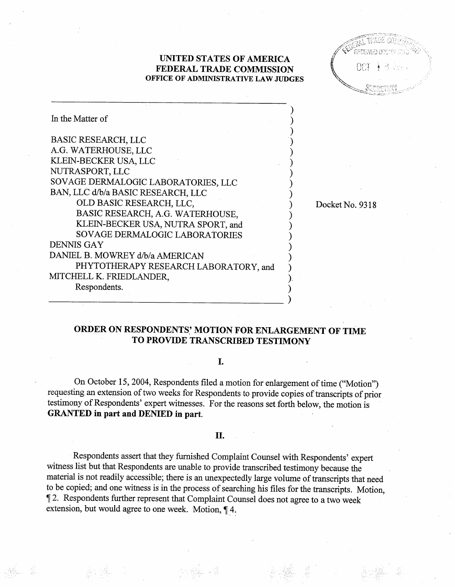## UNITED STATES OF AMERICA FEDERAL TRADE COMMISSION OFFICE OF ADMINISTRATIVE LAW JUDGES

Docket No. 9318

| In the Matter of                      |  |
|---------------------------------------|--|
| <b>BASIC RESEARCH, LLC</b>            |  |
| A.G. WATERHOUSE, LLC                  |  |
| KLEIN-BECKER USA, LLC                 |  |
| NUTRASPORT, LLC                       |  |
| SOVAGE DERMALOGIC LABORATORIES, LLC   |  |
| BAN, LLC d/b/a BASIC RESEARCH, LLC    |  |
| OLD BASIC RESEARCH, LLC,              |  |
| BASIC RESEARCH, A.G. WATERHOUSE,      |  |
| KLEIN-BECKER USA, NUTRA SPORT, and    |  |
| <b>SOVAGE DERMALOGIC LABORATORIES</b> |  |
| DENNIS GAY                            |  |
| DANIEL B. MOWREY d/b/a AMERICAN       |  |
| PHYTOTHERAPY RESEARCH LABORATORY, and |  |
| MITCHELL K. FRIEDLANDER,              |  |
| Respondents.                          |  |
|                                       |  |

## ORDER ON RESPONDENTS' MOTION FOR ENLARGEMENT OF TIME TO PROVIDE TRANSCRIBED TESTIMONY

## I.

On October 15, 2004, Respondents filed a motion for enlargement of time ("Motion") requesting an extension of two weeks for Respondents to provide copies of transcripts of prior testimony of Respondents' expert witnesses. For the reasons set forth below, the motion is GRANTED in part and DENIED in part.

## II.

Respondents assert that they furnshed Complaint Counsel with Respondents' expert witness list but that Respondents are unable to provide transcribed testimony because the material is not readily accessible; there is an unexpectedly large volume of transcripts that need to be copied; and one witness is in the process of searching his fies for the transcripts. Motion 12. Respondents further represent that Complaint Counsel does not agree to a two week extension, but would agree to one week. Motion,  $\P$  4.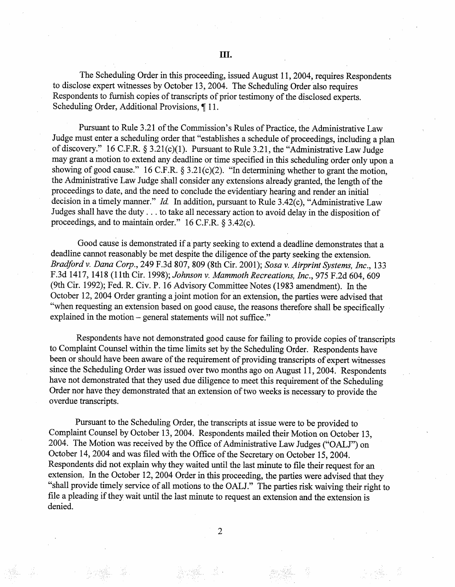The Scheduling Order in this proceeding, issued August 11 , 2004, requires Respondents to disclose expert witnesses by October 13, 2004. The Scheduling Order also requires Respondents to furnish copies of transcripts of prior testimony of the disclosed experts. Scheduling Order, Additional Provisions, ¶11.

Pursuant to Rule 3.21 of the Commission's Rules of Practice, the Administrative Law Judge must enter a scheduling order that "establishes a schedule of proceedings, including a plan of discovery." 16 C.F.R. § 3.21(c)(1). Pursuant to Rule 3.21, the "Administrative Law Judge may grant a motion to extend any deadline or time specified in this scheduling order only upon a showing of good cause." 16 C.F.R.  $\S 3.21(c)(2)$ . "In determining whether to grant the motion. the Administrative Law Judge shall consider any extensions already granted, the length of the proceedings to date, and the need to conclude the evidentiary hearing and render an initial decision in a timely manner." Id. In addition, pursuant to Rule 3.42(c), "Administrative Law Judges shall have the duty... to take all necessary action to avoid delay in the disposition of proceedings, and to maintain order."  $16$  C.F.R.  $\S$  3.42(c).

Good cause is demonstrated if a party seeking to extend a deadline demonstrates that a deadline cannot reasonably be met despite the diligence of the party seeking the extension. Bradford v. Dana Corp., 249 F.3d 807, 809 (8th Cir. 2001); Sosa v. Airprint Systems, Inc., 133 3d 1417, 1418 (l1th Cir. 1998); Johnson v. Mammoth Recreations, Inc. 975 F.2d 604 609 (9th Cir. 1992); Fed. R. Civ. P. 16 Advisory Committee Notes (l983 amendment). In the October 12, 2004 Order granting a joint motion for an extension, the parties were advised that when requesting an extension based on good cause, the reasons therefore shall be specifically explained in the motion – general statements will not suffice."

Respondents have not demonstrated good cause for failing to provide copies of transcripts to Complaint Counsel within the time limits set by the Scheduling Order. Respondents have been or should have been aware of the requirement of providing transcripts of expert witnesses since the Scheduling Order was issued over two months ago on August 11 , 2004. Respondents have not demonstrated that they used due diligence to meet this requirement of the Scheduling Order nor have they demonstrated that an extension of two weeks is necessary to provide the overdue transcripts.

Pursuant to the Scheduling Order, the transcripts at issue were to be provided to Complaint Counsel by October 13, 2004. Respondents mailed their Motion on October 13. 2004. The Motion was received by the Office of Administrative Law Judges ("OALJ") on October 14, 2004 and was filed with the Office of the Secretary on October 15, 2004. Respondents did not explain why they waited until the last minute to fie their request for an extension. In the October 12, 2004 Order in this proceeding, the paries were advised that they shall provide timely service of all motions to the OALJ." The paries risk waiving their right to file a pleading if they wait until the last minute to request an extension and the extension is denied.